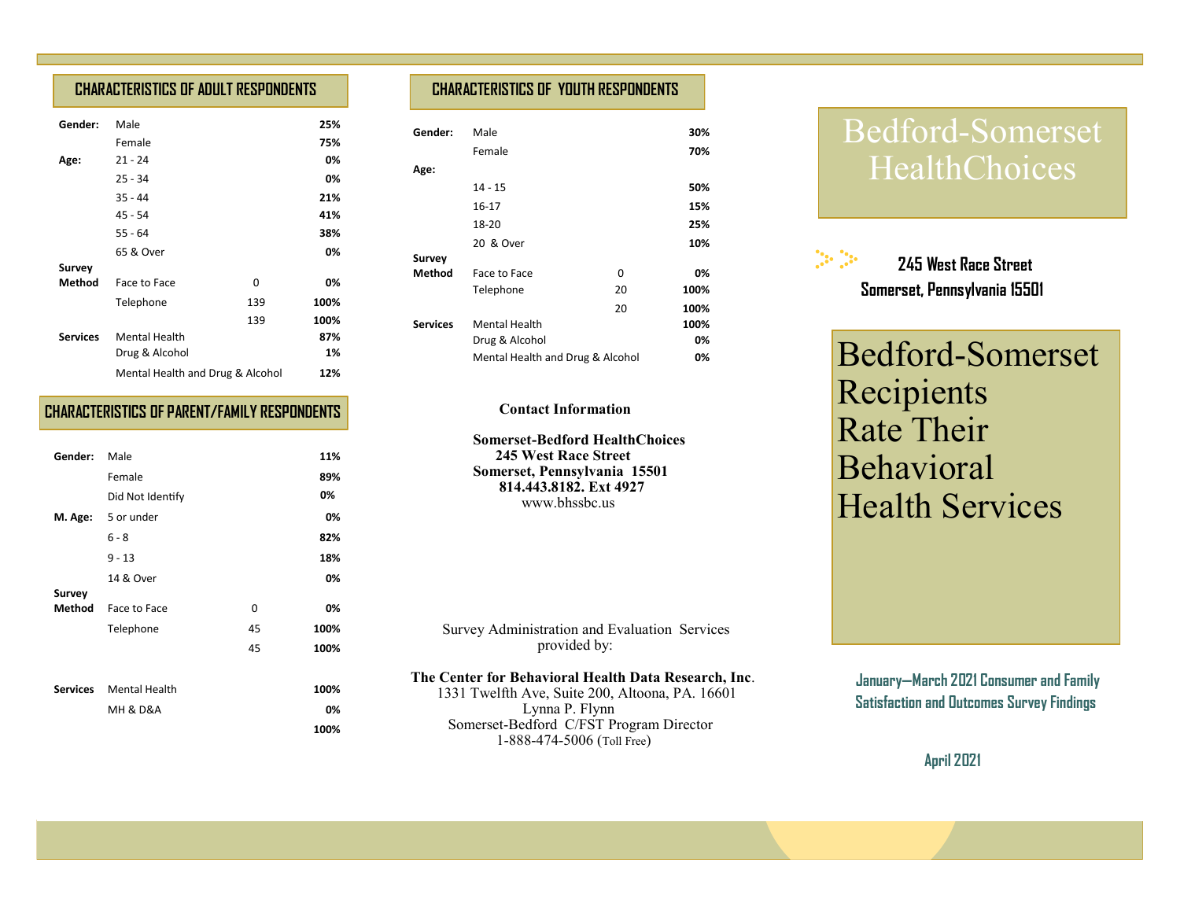## **CHARACTERISTICS OF ADULT RESPONDENTS**

| Gender:         | Male                             |     | 25%  |
|-----------------|----------------------------------|-----|------|
|                 | Female                           |     | 75%  |
| Age:            | $21 - 24$                        |     | 0%   |
|                 | $25 - 34$                        |     | 0%   |
|                 | $35 - 44$                        |     | 21%  |
|                 | 45 - 54                          |     | 41%  |
|                 | $55 - 64$                        |     | 38%  |
|                 | 65 & Over                        |     | 0%   |
| Survey          |                                  |     |      |
| Method          | Face to Face                     | 0   | 0%   |
|                 | Telephone                        | 139 | 100% |
|                 |                                  | 139 | 100% |
| <b>Services</b> | <b>Mental Health</b>             |     | 87%  |
|                 | Drug & Alcohol                   |     | 1%   |
|                 | Mental Health and Drug & Alcohol |     | 12%  |

### **CHARACTERISTICS OF PARENT/FAMILY RESPONDENTS**

| Gender:  | Male                 |    | 11%  |
|----------|----------------------|----|------|
|          | Female               |    | 89%  |
|          | Did Not Identify     |    | 0%   |
| M. Age:  | 5 or under           |    | 0%   |
|          | $6 - 8$              |    | 82%  |
|          | $9 - 13$             |    | 18%  |
|          | 14 & Over            |    | 0%   |
| Survey   |                      |    |      |
| Method   | Face to Face         | 0  | 0%   |
|          | Telephone            | 45 | 100% |
|          |                      | 45 | 100% |
|          |                      |    |      |
| Services | <b>Mental Health</b> |    | 100% |
|          | MH & D&A             |    | 0%   |
|          |                      |    | 100% |

## **CHARACTERISTICS OF YOUTH RESPONDENTS**

| Gender:         | Male                             |    | 30%  |
|-----------------|----------------------------------|----|------|
|                 | Female                           |    | 70%  |
| Age:            |                                  |    |      |
|                 | $14 - 15$                        |    | 50%  |
|                 | 16-17                            |    | 15%  |
|                 | 18-20                            |    | 25%  |
|                 | 20 & Over                        |    | 10%  |
| Survey          |                                  |    |      |
| <b>Method</b>   | Face to Face                     | 0  | 0%   |
|                 | Telephone                        | 20 | 100% |
|                 |                                  | 20 | 100% |
| <b>Services</b> | <b>Mental Health</b>             |    | 100% |
|                 | Drug & Alcohol                   |    | 0%   |
|                 | Mental Health and Drug & Alcohol |    | 0%   |

#### **Contact Information**

 **Somerset-Bedford HealthChoices 245 West Race Street Somerset, Pennsylvania 15501 814.443.8182. Ext 4927** www.bhssbc.us

 Survey Administration and Evaluation Services provided by:

#### **The Center for Behavioral Health Data Research, Inc**.

 1331 Twelfth Ave, Suite 200, Altoona, PA. 16601 Lynna P. Flynn Somerset-Bedford C/FST Program Director 1-888-474-5006 (Toll Free)

# Bedford-Somerset **HealthChoices**

 $\mathbb{C}^{\mathbb{Z}}$  **245 West Race Street Somerset, Pennsylvania 15501**

Bedford-Somerset Recipients Rate Their Behavioral Health Services

**January—March 2021 Consumer and Family Satisfaction and Outcomes Survey Findings** 

 **April 2021**